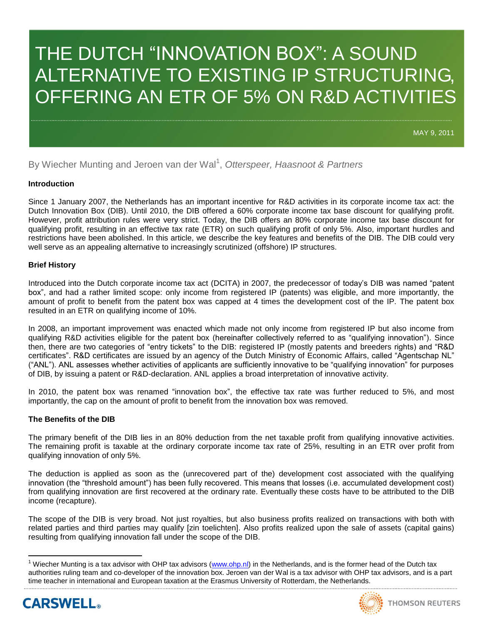# THE DUTCH "INNOVATION BOX": A SOUND ALTERNATIVE TO EXISTING IP STRUCTURING, OFFERING AN ETR OF 5% ON R&D ACTIVITIES

MAY 9, 2011

By Wiecher Munting and Jeroen van der Wal<sup>1</sup>, Otterspeer, Haasnoot & Partners

# **Introduction**

Since 1 January 2007, the Netherlands has an important incentive for R&D activities in its corporate income tax act: the Dutch Innovation Box (DIB). Until 2010, the DIB offered a 60% corporate income tax base discount for qualifying profit. However, profit attribution rules were very strict. Today, the DIB offers an 80% corporate income tax base discount for qualifying profit, resulting in an effective tax rate (ETR) on such qualifying profit of only 5%. Also, important hurdles and restrictions have been abolished. In this article, we describe the key features and benefits of the DIB. The DIB could very well serve as an appealing alternative to increasingly scrutinized (offshore) IP structures.

# **Brief History**

Introduced into the Dutch corporate income tax act (DCITA) in 2007, the predecessor of today"s DIB was named "patent box", and had a rather limited scope: only income from registered IP (patents) was eligible, and more importantly, the amount of profit to benefit from the patent box was capped at 4 times the development cost of the IP. The patent box resulted in an ETR on qualifying income of 10%.

In 2008, an important improvement was enacted which made not only income from registered IP but also income from qualifying R&D activities eligible for the patent box (hereinafter collectively referred to as "qualifying innovation"). Since then, there are two categories of "entry tickets" to the DIB: registered IP (mostly patents and breeders rights) and "R&D certificates". R&D certificates are issued by an agency of the Dutch Ministry of Economic Affairs, called "Agentschap NL" ("ANL"). ANL assesses whether activities of applicants are sufficiently innovative to be "qualifying innovation" for purposes of DIB, by issuing a patent or R&D-declaration. ANL applies a broad interpretation of innovative activity.

In 2010, the patent box was renamed "innovation box", the effective tax rate was further reduced to 5%, and most importantly, the cap on the amount of profit to benefit from the innovation box was removed.

# **The Benefits of the DIB**

The primary benefit of the DIB lies in an 80% deduction from the net taxable profit from qualifying innovative activities. The remaining profit is taxable at the ordinary corporate income tax rate of 25%, resulting in an ETR over profit from qualifying innovation of only 5%.

The deduction is applied as soon as the (unrecovered part of the) development cost associated with the qualifying innovation (the "threshold amount") has been fully recovered. This means that losses (i.e. accumulated development cost) from qualifying innovation are first recovered at the ordinary rate. Eventually these costs have to be attributed to the DIB income (recapture).

The scope of the DIB is very broad. Not just royalties, but also business profits realized on transactions with both with related parties and third parties may qualify [zin toelichten]. Also profits realized upon the sale of assets (capital gains) resulting from qualifying innovation fall under the scope of the DIB.

<sup>&</sup>lt;sup>1</sup> Wiecher Munting is a tax advisor with OHP tax advisors (<u>www.ohp.nl</u>) in the Netherlands, and is the former head of the Dutch tax authorities ruling team and co-developer of the innovation box. Jeroen van der Wal is a tax advisor with OHP tax advisors, and is a part time teacher in international and European taxation at the Erasmus University of Rotterdam, the Netherlands.



 $\overline{a}$ 

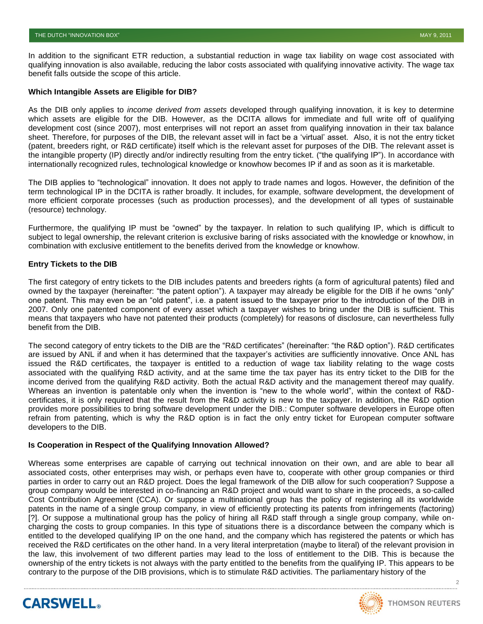In addition to the significant ETR reduction, a substantial reduction in wage tax liability on wage cost associated with qualifying innovation is also available, reducing the labor costs associated with qualifying innovative activity. The wage tax benefit falls outside the scope of this article.

#### **Which Intangible Assets are Eligible for DIB?**

As the DIB only applies to *income derived from assets* developed through qualifying innovation, it is key to determine which assets are eligible for the DIB. However, as the DCITA allows for immediate and full write off of qualifying development cost (since 2007), most enterprises will not report an asset from qualifying innovation in their tax balance sheet. Therefore, for purposes of the DIB, the relevant asset will in fact be a "virtual" asset. Also, it is not the entry ticket (patent, breeders right, or R&D certificate) itself which is the relevant asset for purposes of the DIB. The relevant asset is the intangible property (IP) directly and/or indirectly resulting from the entry ticket. ("the qualifying IP"). In accordance with internationally recognized rules, technological knowledge or knowhow becomes IP if and as soon as it is marketable.

The DIB applies to "technological" innovation. It does not apply to trade names and logos. However, the definition of the term technological IP in the DCITA is rather broadly. It includes, for example, software development, the development of more efficient corporate processes (such as production processes), and the development of all types of sustainable (resource) technology.

Furthermore, the qualifying IP must be "owned" by the taxpayer. In relation to such qualifying IP, which is difficult to subject to legal ownership, the relevant criterion is exclusive baring of risks associated with the knowledge or knowhow, in combination with exclusive entitlement to the benefits derived from the knowledge or knowhow.

#### **Entry Tickets to the DIB**

The first category of entry tickets to the DIB includes patents and breeders rights (a form of agricultural patents) filed and owned by the taxpayer (hereinafter: "the patent option"). A taxpayer may already be eligible for the DIB if he owns "only" one patent. This may even be an "old patent", i.e. a patent issued to the taxpayer prior to the introduction of the DIB in 2007. Only one patented component of every asset which a taxpayer wishes to bring under the DIB is sufficient. This means that taxpayers who have not patented their products (completely) for reasons of disclosure, can nevertheless fully benefit from the DIB.

The second category of entry tickets to the DIB are the "R&D certificates" (hereinafter: "the R&D option"). R&D certificates are issued by ANL if and when it has determined that the taxpayer"s activities are sufficiently innovative. Once ANL has issued the R&D certificates, the taxpayer is entitled to a reduction of wage tax liability relating to the wage costs associated with the qualifying R&D activity, and at the same time the tax payer has its entry ticket to the DIB for the income derived from the qualifying R&D activity. Both the actual R&D activity and the management thereof may qualify. Whereas an invention is patentable only when the invention is "new to the whole world", within the context of R&Dcertificates, it is only required that the result from the R&D activity is new to the taxpayer. In addition, the R&D option provides more possibilities to bring software development under the DIB.: Computer software developers in Europe often refrain from patenting, which is why the R&D option is in fact the only entry ticket for European computer software developers to the DIB.

#### **Is Cooperation in Respect of the Qualifying Innovation Allowed?**

Whereas some enterprises are capable of carrying out technical innovation on their own, and are able to bear all associated costs, other enterprises may wish, or perhaps even have to, cooperate with other group companies or third parties in order to carry out an R&D project. Does the legal framework of the DIB allow for such cooperation? Suppose a group company would be interested in co-financing an R&D project and would want to share in the proceeds, a so-called Cost Contribution Agreement (CCA). Or suppose a multinational group has the policy of registering all its worldwide patents in the name of a single group company, in view of efficiently protecting its patents from infringements (factoring) [?]. Or suppose a multinational group has the policy of hiring all R&D staff through a single group company, while oncharging the costs to group companies. In this type of situations there is a discordance between the company which is entitled to the developed qualifying IP on the one hand, and the company which has registered the patents or which has received the R&D certificates on the other hand. In a very literal interpretation (maybe to literal) of the relevant provision in the law, this involvement of two different parties may lead to the loss of entitlement to the DIB. This is because the ownership of the entry tickets is not always with the party entitled to the benefits from the qualifying IP. This appears to be contrary to the purpose of the DIB provisions, which is to stimulate R&D activities. The parliamentary history of the



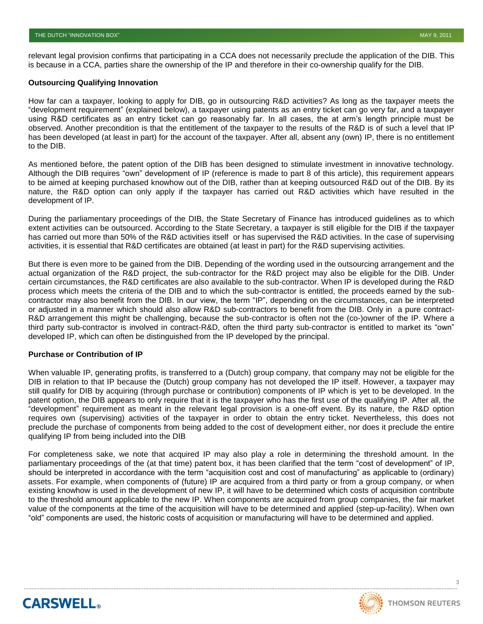relevant legal provision confirms that participating in a CCA does not necessarily preclude the application of the DIB. This is because in a CCA, parties share the ownership of the IP and therefore in their co-ownership qualify for the DIB.

#### **Outsourcing Qualifying Innovation**

How far can a taxpayer, looking to apply for DIB, go in outsourcing R&D activities? As long as the taxpayer meets the "development requirement" (explained below), a taxpayer using patents as an entry ticket can go very far, and a taxpayer using R&D certificates as an entry ticket can go reasonably far. In all cases, the at arm"s length principle must be observed. Another precondition is that the entitlement of the taxpayer to the results of the R&D is of such a level that IP has been developed (at least in part) for the account of the taxpayer. After all, absent any (own) IP, there is no entitlement to the DIB.

As mentioned before, the patent option of the DIB has been designed to stimulate investment in innovative technology. Although the DIB requires "own" development of IP (reference is made to part 8 of this article), this requirement appears to be aimed at keeping purchased knowhow out of the DIB, rather than at keeping outsourced R&D out of the DIB. By its nature, the R&D option can only apply if the taxpayer has carried out R&D activities which have resulted in the development of IP.

During the parliamentary proceedings of the DIB, the State Secretary of Finance has introduced guidelines as to which extent activities can be outsourced. According to the State Secretary, a taxpayer is still eligible for the DIB if the taxpayer has carried out more than 50% of the R&D activities itself or has supervised the R&D activities. In the case of supervising activities, it is essential that R&D certificates are obtained (at least in part) for the R&D supervising activities.

But there is even more to be gained from the DIB. Depending of the wording used in the outsourcing arrangement and the actual organization of the R&D project, the sub-contractor for the R&D project may also be eligible for the DIB. Under certain circumstances, the R&D certificates are also available to the sub-contractor. When IP is developed during the R&D process which meets the criteria of the DIB and to which the sub-contractor is entitled, the proceeds earned by the subcontractor may also benefit from the DIB. In our view, the term "IP", depending on the circumstances, can be interpreted or adjusted in a manner which should also allow R&D sub-contractors to benefit from the DIB. Only in a pure contract-R&D arrangement this might be challenging, because the sub-contractor is often not the (co-)owner of the IP. Where a third party sub-contractor is involved in contract-R&D, often the third party sub-contractor is entitled to market its "own" developed IP, which can often be distinguished from the IP developed by the principal.

#### **Purchase or Contribution of IP**

**CARSWELL** 

When valuable IP, generating profits, is transferred to a (Dutch) group company, that company may not be eligible for the DIB in relation to that IP because the (Dutch) group company has not developed the IP itself. However, a taxpayer may still qualify for DIB by acquiring (through purchase or contribution) components of IP which is yet to be developed. In the patent option, the DIB appears to only require that it is the taxpayer who has the first use of the qualifying IP. After all, the "development" requirement as meant in the relevant legal provision is a one-off event. By its nature, the R&D option requires own (supervising) activities of the taxpayer in order to obtain the entry ticket. Nevertheless, this does not preclude the purchase of components from being added to the cost of development either, nor does it preclude the entire qualifying IP from being included into the DIB

For completeness sake, we note that acquired IP may also play a role in determining the threshold amount. In the parliamentary proceedings of the (at that time) patent box, it has been clarified that the term "cost of development" of IP, should be interpreted in accordance with the term "acquisition cost and cost of manufacturing" as applicable to (ordinary) assets. For example, when components of (future) IP are acquired from a third party or from a group company, or when existing knowhow is used in the development of new IP, it will have to be determined which costs of acquisition contribute to the threshold amount applicable to the new IP. When components are acquired from group companies, the fair market value of the components at the time of the acquisition will have to be determined and applied (step-up-facility). When own "old" components are used, the historic costs of acquisition or manufacturing will have to be determined and applied.

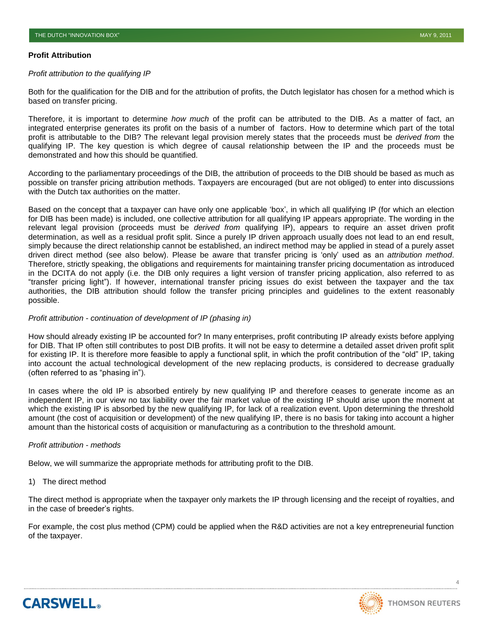#### **Profit Attribution**

#### *Profit attribution to the qualifying IP*

Both for the qualification for the DIB and for the attribution of profits, the Dutch legislator has chosen for a method which is based on transfer pricing.

Therefore, it is important to determine *how much* of the profit can be attributed to the DIB. As a matter of fact, an integrated enterprise generates its profit on the basis of a number of factors. How to determine which part of the total profit is attributable to the DIB? The relevant legal provision merely states that the proceeds must be *derived from* the qualifying IP. The key question is which degree of causal relationship between the IP and the proceeds must be demonstrated and how this should be quantified.

According to the parliamentary proceedings of the DIB, the attribution of proceeds to the DIB should be based as much as possible on transfer pricing attribution methods. Taxpayers are encouraged (but are not obliged) to enter into discussions with the Dutch tax authorities on the matter.

Based on the concept that a taxpayer can have only one applicable "box", in which all qualifying IP (for which an election for DIB has been made) is included, one collective attribution for all qualifying IP appears appropriate. The wording in the relevant legal provision (proceeds must be *derived from* qualifying IP), appears to require an asset driven profit determination, as well as a residual profit split. Since a purely IP driven approach usually does not lead to an end result, simply because the direct relationship cannot be established, an indirect method may be applied in stead of a purely asset driven direct method (see also below). Please be aware that transfer pricing is "only" used as an *attribution method*. Therefore, strictly speaking, the obligations and requirements for maintaining transfer pricing documentation as introduced in the DCITA do not apply (i.e. the DIB only requires a light version of transfer pricing application, also referred to as "transfer pricing light"). If however, international transfer pricing issues do exist between the taxpayer and the tax authorities, the DIB attribution should follow the transfer pricing principles and guidelines to the extent reasonably possible.

# *Profit attribution - continuation of development of IP (phasing in)*

How should already existing IP be accounted for? In many enterprises, profit contributing IP already exists before applying for DIB. That IP often still contributes to post DIB profits. It will not be easy to determine a detailed asset driven profit split for existing IP. It is therefore more feasible to apply a functional split, in which the profit contribution of the "old" IP, taking into account the actual technological development of the new replacing products, is considered to decrease gradually (often referred to as "phasing in").

In cases where the old IP is absorbed entirely by new qualifying IP and therefore ceases to generate income as an independent IP, in our view no tax liability over the fair market value of the existing IP should arise upon the moment at which the existing IP is absorbed by the new qualifying IP, for lack of a realization event. Upon determining the threshold amount (the cost of acquisition or development) of the new qualifying IP, there is no basis for taking into account a higher amount than the historical costs of acquisition or manufacturing as a contribution to the threshold amount.

# *Profit attribution - methods*

Below, we will summarize the appropriate methods for attributing profit to the DIB.

#### 1) The direct method

**CARSWELL** 

The direct method is appropriate when the taxpayer only markets the IP through licensing and the receipt of royalties, and in the case of breeder"s rights.

For example, the cost plus method (CPM) could be applied when the R&D activities are not a key entrepreneurial function of the taxpayer.

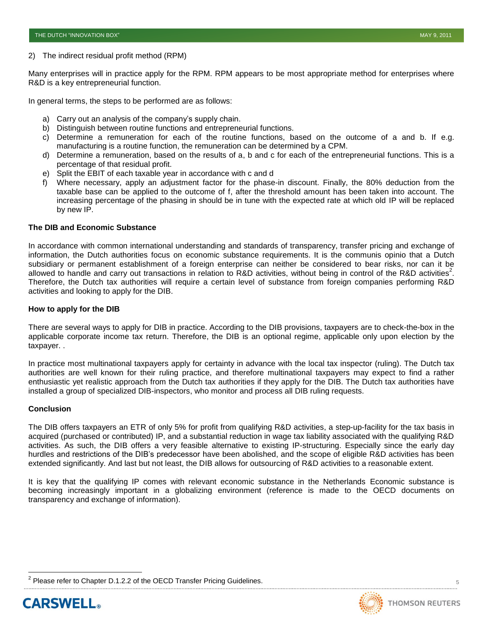#### 2) The indirect residual profit method (RPM)

Many enterprises will in practice apply for the RPM. RPM appears to be most appropriate method for enterprises where R&D is a key entrepreneurial function.

In general terms, the steps to be performed are as follows:

- a) Carry out an analysis of the company's supply chain.
- b) Distinguish between routine functions and entrepreneurial functions.
- c) Determine a remuneration for each of the routine functions, based on the outcome of a and b. If e.g. manufacturing is a routine function, the remuneration can be determined by a CPM.
- d) Determine a remuneration, based on the results of a, b and c for each of the entrepreneurial functions. This is a percentage of that residual profit.
- e) Split the EBIT of each taxable year in accordance with c and d
- f) Where necessary, apply an adjustment factor for the phase-in discount. Finally, the 80% deduction from the taxable base can be applied to the outcome of f, after the threshold amount has been taken into account. The increasing percentage of the phasing in should be in tune with the expected rate at which old IP will be replaced by new IP.

#### **The DIB and Economic Substance**

In accordance with common international understanding and standards of transparency, transfer pricing and exchange of information, the Dutch authorities focus on economic substance requirements. It is the communis opinio that a Dutch subsidiary or permanent establishment of a foreign enterprise can neither be considered to bear risks, nor can it be allowed to handle and carry out transactions in relation to R&D activities, without being in control of the R&D activities<sup>2</sup>. Therefore, the Dutch tax authorities will require a certain level of substance from foreign companies performing R&D activities and looking to apply for the DIB.

#### **How to apply for the DIB**

There are several ways to apply for DIB in practice. According to the DIB provisions, taxpayers are to check-the-box in the applicable corporate income tax return. Therefore, the DIB is an optional regime, applicable only upon election by the taxpayer. .

In practice most multinational taxpayers apply for certainty in advance with the local tax inspector (ruling). The Dutch tax authorities are well known for their ruling practice, and therefore multinational taxpayers may expect to find a rather enthusiastic yet realistic approach from the Dutch tax authorities if they apply for the DIB. The Dutch tax authorities have installed a group of specialized DIB-inspectors, who monitor and process all DIB ruling requests.

#### **Conclusion**

The DIB offers taxpayers an ETR of only 5% for profit from qualifying R&D activities, a step-up-facility for the tax basis in acquired (purchased or contributed) IP, and a substantial reduction in wage tax liability associated with the qualifying R&D activities. As such, the DIB offers a very feasible alternative to existing IP-structuring. Especially since the early day hurdles and restrictions of the DIB's predecessor have been abolished, and the scope of eligible R&D activities has been extended significantly. And last but not least, the DIB allows for outsourcing of R&D activities to a reasonable extent.

It is key that the qualifying IP comes with relevant economic substance in the Netherlands Economic substance is becoming increasingly important in a globalizing environment (reference is made to the OECD documents on transparency and exchange of information).

<sup>2</sup> Please refer to Chapter D.1.2.2 of the OECD Transfer Pricing Guidelines.



 $\overline{a}$